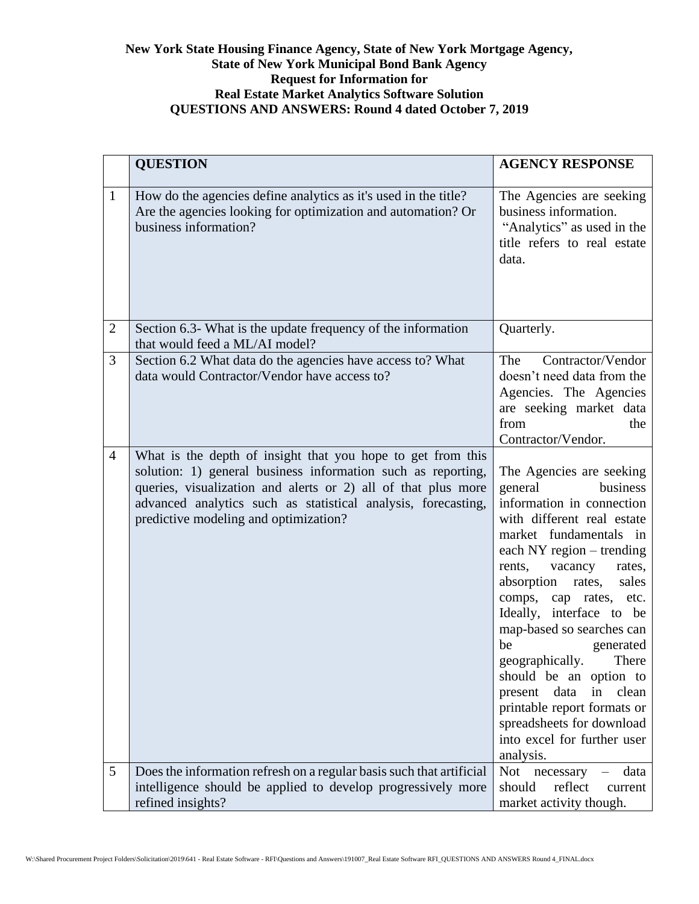## **New York State Housing Finance Agency, State of New York Mortgage Agency, State of New York Municipal Bond Bank Agency Request for Information for Real Estate Market Analytics Software Solution QUESTIONS AND ANSWERS: Round 4 dated October 7, 2019**

|                | <b>QUESTION</b>                                                                                                                                                                                                                                                                                        | <b>AGENCY RESPONSE</b>                                                                                                                                                                                                                                                                                                                                                                                                                                                                                                               |
|----------------|--------------------------------------------------------------------------------------------------------------------------------------------------------------------------------------------------------------------------------------------------------------------------------------------------------|--------------------------------------------------------------------------------------------------------------------------------------------------------------------------------------------------------------------------------------------------------------------------------------------------------------------------------------------------------------------------------------------------------------------------------------------------------------------------------------------------------------------------------------|
| $\mathbf{1}$   | How do the agencies define analytics as it's used in the title?<br>Are the agencies looking for optimization and automation? Or<br>business information?                                                                                                                                               | The Agencies are seeking<br>business information.<br>"Analytics" as used in the<br>title refers to real estate<br>data.                                                                                                                                                                                                                                                                                                                                                                                                              |
| $\overline{2}$ | Section 6.3- What is the update frequency of the information<br>that would feed a ML/AI model?                                                                                                                                                                                                         | Quarterly.                                                                                                                                                                                                                                                                                                                                                                                                                                                                                                                           |
| 3              | Section 6.2 What data do the agencies have access to? What<br>data would Contractor/Vendor have access to?                                                                                                                                                                                             | Contractor/Vendor<br>The<br>doesn't need data from the<br>Agencies. The Agencies<br>are seeking market data<br>from<br>the<br>Contractor/Vendor.                                                                                                                                                                                                                                                                                                                                                                                     |
| $\overline{4}$ | What is the depth of insight that you hope to get from this<br>solution: 1) general business information such as reporting,<br>queries, visualization and alerts or 2) all of that plus more<br>advanced analytics such as statistical analysis, forecasting,<br>predictive modeling and optimization? | The Agencies are seeking<br>general<br>business<br>information in connection<br>with different real estate<br>market fundamentals in<br>each NY region – trending<br>rents,<br>vacancy<br>rates,<br>absorption rates,<br>sales<br>comps, cap rates, etc.<br>Ideally, interface to be<br>map-based so searches can<br>be<br>generated<br>geographically.<br>There<br>should be an option to<br>data<br>in<br>clean<br>present<br>printable report formats or<br>spreadsheets for download<br>into excel for further user<br>analysis. |
| 5              | Does the information refresh on a regular basis such that artificial<br>intelligence should be applied to develop progressively more<br>refined insights?                                                                                                                                              | Not<br>necessary<br>data<br>reflect<br>should<br>current<br>market activity though.                                                                                                                                                                                                                                                                                                                                                                                                                                                  |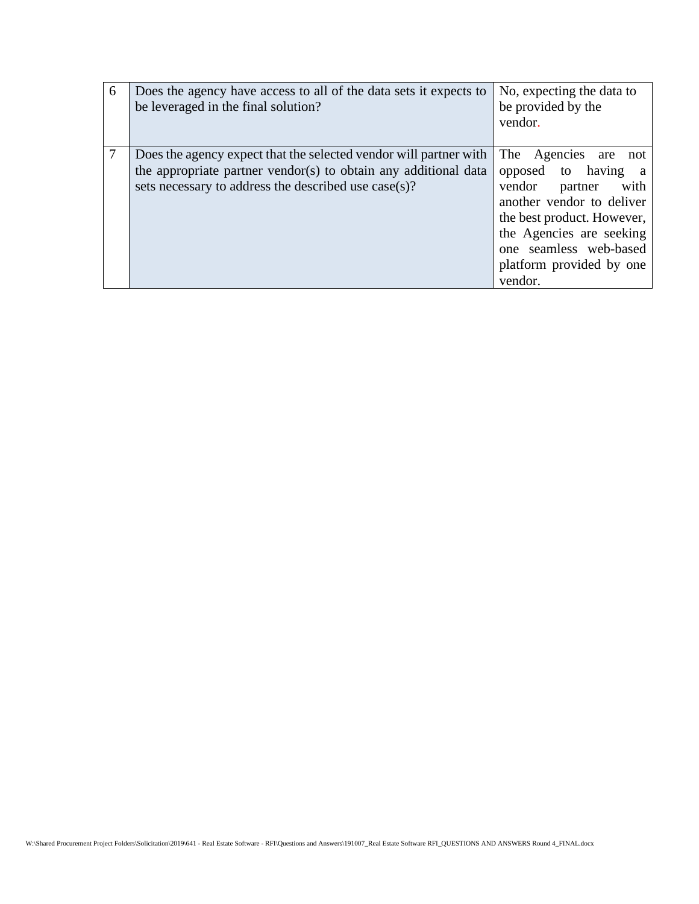| 6 | Does the agency have access to all of the data sets it expects to<br>be leveraged in the final solution?                                                                                     | No, expecting the data to<br>be provided by the<br>vendor.                                                                                                                                                                                        |
|---|----------------------------------------------------------------------------------------------------------------------------------------------------------------------------------------------|---------------------------------------------------------------------------------------------------------------------------------------------------------------------------------------------------------------------------------------------------|
| 7 | Does the agency expect that the selected vendor will partner with<br>the appropriate partner vendor(s) to obtain any additional data<br>sets necessary to address the described use case(s)? | The Agencies are<br>not<br>opposed to having<br><sub>a</sub><br>with<br>vendor<br>partner<br>another vendor to deliver<br>the best product. However,<br>the Agencies are seeking<br>one seamless web-based<br>platform provided by one<br>vendor. |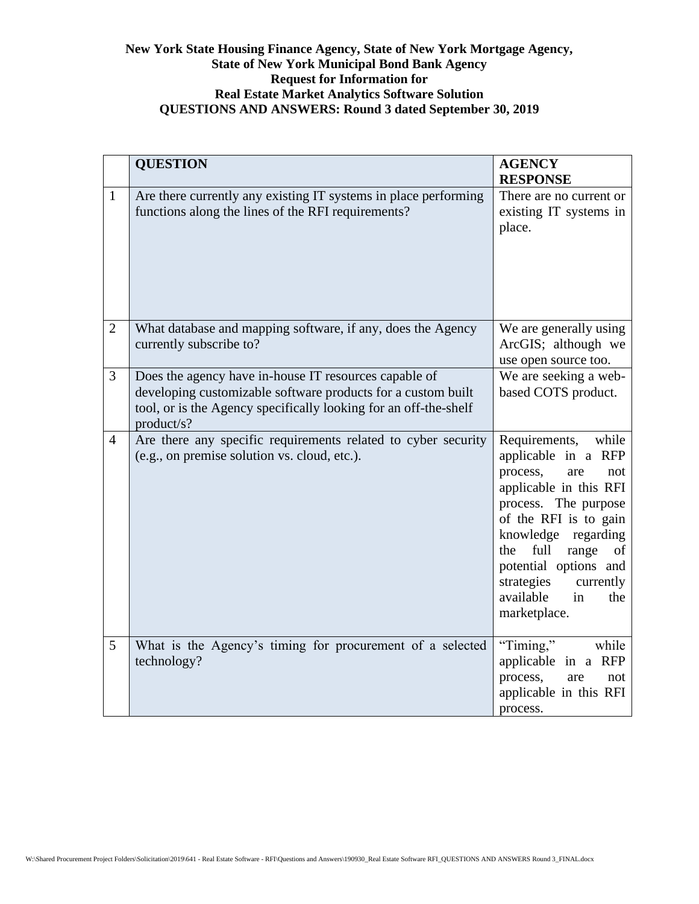## **New York State Housing Finance Agency, State of New York Mortgage Agency, State of New York Municipal Bond Bank Agency Request for Information for Real Estate Market Analytics Software Solution QUESTIONS AND ANSWERS: Round 3 dated September 30, 2019**

|                | <b>QUESTION</b>                                                                                                                                                                                         | <b>AGENCY</b><br><b>RESPONSE</b>                                                                                                                                                                                                                                                                         |
|----------------|---------------------------------------------------------------------------------------------------------------------------------------------------------------------------------------------------------|----------------------------------------------------------------------------------------------------------------------------------------------------------------------------------------------------------------------------------------------------------------------------------------------------------|
| $\mathbf{1}$   | Are there currently any existing IT systems in place performing<br>functions along the lines of the RFI requirements?                                                                                   | There are no current or<br>existing IT systems in<br>place.                                                                                                                                                                                                                                              |
| $\overline{2}$ | What database and mapping software, if any, does the Agency<br>currently subscribe to?                                                                                                                  | We are generally using<br>ArcGIS; although we<br>use open source too.                                                                                                                                                                                                                                    |
| 3              | Does the agency have in-house IT resources capable of<br>developing customizable software products for a custom built<br>tool, or is the Agency specifically looking for an off-the-shelf<br>product/s? | We are seeking a web-<br>based COTS product.                                                                                                                                                                                                                                                             |
| $\overline{4}$ | Are there any specific requirements related to cyber security<br>(e.g., on premise solution vs. cloud, etc.).                                                                                           | Requirements,<br>while<br>applicable in a RFP<br>process,<br>are<br>not<br>applicable in this RFI<br>process. The purpose<br>of the RFI is to gain<br>knowledge<br>regarding<br>full<br>range<br>the<br>of<br>potential options and<br>strategies<br>currently<br>available<br>in<br>the<br>marketplace. |
| 5              | What is the Agency's timing for procurement of a selected<br>technology?                                                                                                                                | "Timing,"<br>while<br>applicable in a RFP<br>process,<br>are<br>not<br>applicable in this RFI<br>process.                                                                                                                                                                                                |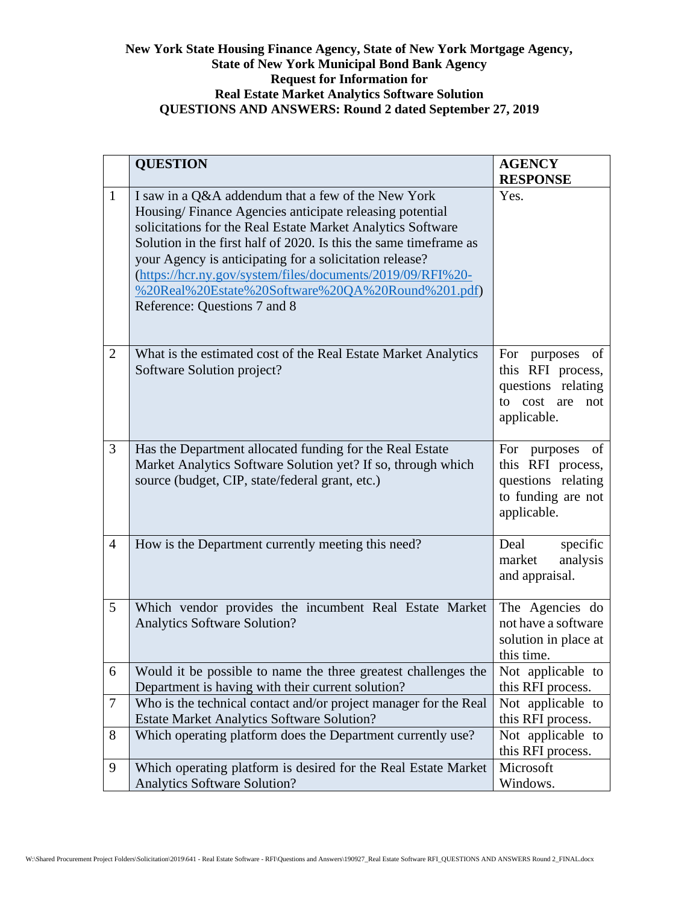## **New York State Housing Finance Agency, State of New York Mortgage Agency, State of New York Municipal Bond Bank Agency Request for Information for Real Estate Market Analytics Software Solution QUESTIONS AND ANSWERS: Round 2 dated September 27, 2019**

|                | <b>QUESTION</b>                                                                                                                                                                                                                                                                                                                                                                                                                                                 | <b>AGENCY</b><br><b>RESPONSE</b>                                                                   |
|----------------|-----------------------------------------------------------------------------------------------------------------------------------------------------------------------------------------------------------------------------------------------------------------------------------------------------------------------------------------------------------------------------------------------------------------------------------------------------------------|----------------------------------------------------------------------------------------------------|
| $\mathbf{1}$   | I saw in a Q&A addendum that a few of the New York<br>Housing/Finance Agencies anticipate releasing potential<br>solicitations for the Real Estate Market Analytics Software<br>Solution in the first half of 2020. Is this the same timeframe as<br>your Agency is anticipating for a solicitation release?<br>(https://hcr.ny.gov/system/files/documents/2019/09/RFI%20-<br>%20Real%20Estate%20Software%20QA%20Round%201.pdf)<br>Reference: Questions 7 and 8 | Yes.                                                                                               |
| 2              | What is the estimated cost of the Real Estate Market Analytics<br>Software Solution project?                                                                                                                                                                                                                                                                                                                                                                    | For purposes of<br>this RFI process,<br>questions relating<br>cost are<br>to<br>not<br>applicable. |
| 3              | Has the Department allocated funding for the Real Estate<br>Market Analytics Software Solution yet? If so, through which<br>source (budget, CIP, state/federal grant, etc.)                                                                                                                                                                                                                                                                                     | For purposes of<br>this RFI process,<br>questions relating<br>to funding are not<br>applicable.    |
| $\overline{4}$ | How is the Department currently meeting this need?                                                                                                                                                                                                                                                                                                                                                                                                              | specific<br>Deal<br>analysis<br>market<br>and appraisal.                                           |
| 5              | Which vendor provides the incumbent Real Estate Market<br><b>Analytics Software Solution?</b>                                                                                                                                                                                                                                                                                                                                                                   | The Agencies do<br>not have a software<br>solution in place at<br>this time.                       |
| 6              | Would it be possible to name the three greatest challenges the<br>Department is having with their current solution?                                                                                                                                                                                                                                                                                                                                             | Not applicable to<br>this RFI process.                                                             |
| 7              | Who is the technical contact and/or project manager for the Real<br><b>Estate Market Analytics Software Solution?</b>                                                                                                                                                                                                                                                                                                                                           | Not applicable to<br>this RFI process.                                                             |
| 8              | Which operating platform does the Department currently use?                                                                                                                                                                                                                                                                                                                                                                                                     | Not applicable to<br>this RFI process.                                                             |
| 9              | Which operating platform is desired for the Real Estate Market<br><b>Analytics Software Solution?</b>                                                                                                                                                                                                                                                                                                                                                           | Microsoft<br>Windows.                                                                              |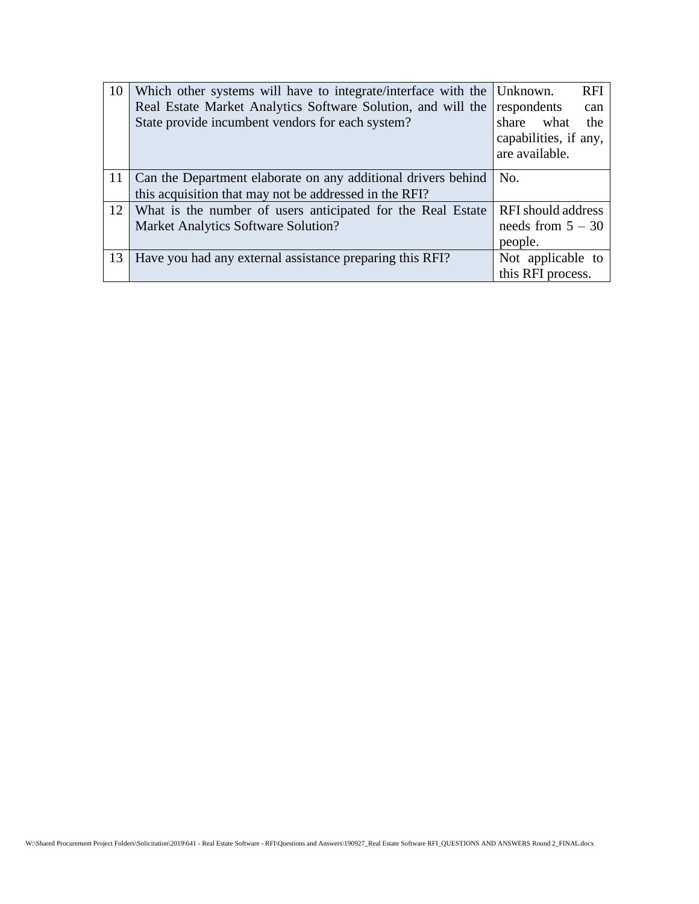| 10              | Which other systems will have to integrate/interface with the | <b>RFI</b><br>Unknown.    |
|-----------------|---------------------------------------------------------------|---------------------------|
|                 | Real Estate Market Analytics Software Solution, and will the  | respondents<br>can        |
|                 | State provide incumbent vendors for each system?              | what<br>share<br>the      |
|                 |                                                               | capabilities, if any,     |
|                 |                                                               | are available.            |
| 11              | Can the Department elaborate on any additional drivers behind | No.                       |
|                 | this acquisition that may not be addressed in the RFI?        |                           |
| 12 <sup>1</sup> | What is the number of users anticipated for the Real Estate   | <b>RFI</b> should address |
|                 | <b>Market Analytics Software Solution?</b>                    | needs from $5 - 30$       |
|                 |                                                               | people.                   |
| 13              | Have you had any external assistance preparing this RFI?      | Not applicable to         |
|                 |                                                               | this RFI process.         |